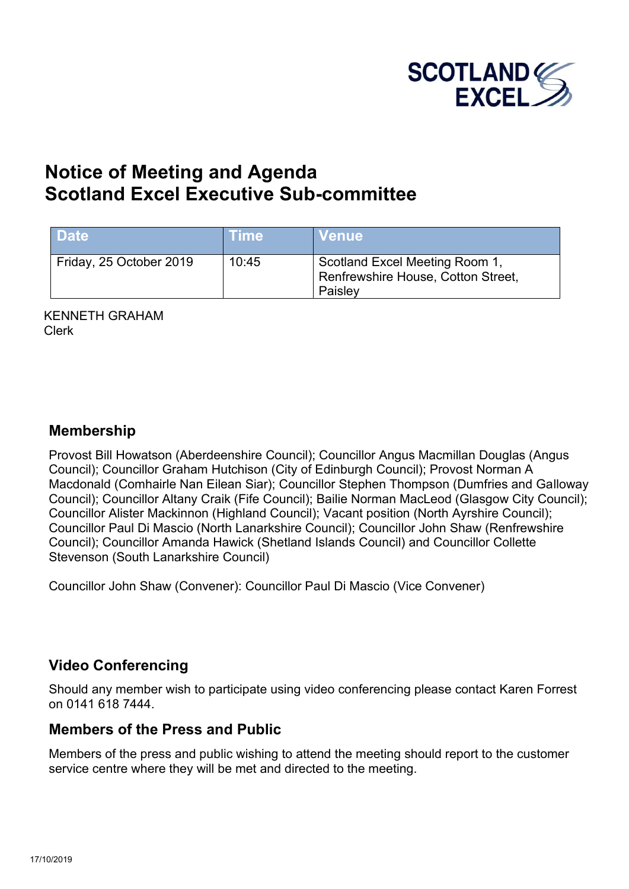

# **Notice of Meeting and Agenda Scotland Excel Executive Sub-committee**

| <b>Date</b>             | <b>Time</b> | <b>Venue</b>                                                                    |
|-------------------------|-------------|---------------------------------------------------------------------------------|
| Friday, 25 October 2019 | 10:45       | Scotland Excel Meeting Room 1,<br>Renfrewshire House, Cotton Street,<br>Paisley |

KENNETH GRAHAM Clerk

#### **Membership**

Provost Bill Howatson (Aberdeenshire Council); Councillor Angus Macmillan Douglas (Angus Council); Councillor Graham Hutchison (City of Edinburgh Council); Provost Norman A Macdonald (Comhairle Nan Eilean Siar); Councillor Stephen Thompson (Dumfries and Galloway Council); Councillor Altany Craik (Fife Council); Bailie Norman MacLeod (Glasgow City Council); Councillor Alister Mackinnon (Highland Council); Vacant position (North Ayrshire Council); Councillor Paul Di Mascio (North Lanarkshire Council); Councillor John Shaw (Renfrewshire Council); Councillor Amanda Hawick (Shetland Islands Council) and Councillor Collette Stevenson (South Lanarkshire Council)

Councillor John Shaw (Convener): Councillor Paul Di Mascio (Vice Convener)

### **Video Conferencing**

Should any member wish to participate using video conferencing please contact Karen Forrest on 0141 618 7444.

### **Members of the Press and Public**

Members of the press and public wishing to attend the meeting should report to the customer service centre where they will be met and directed to the meeting.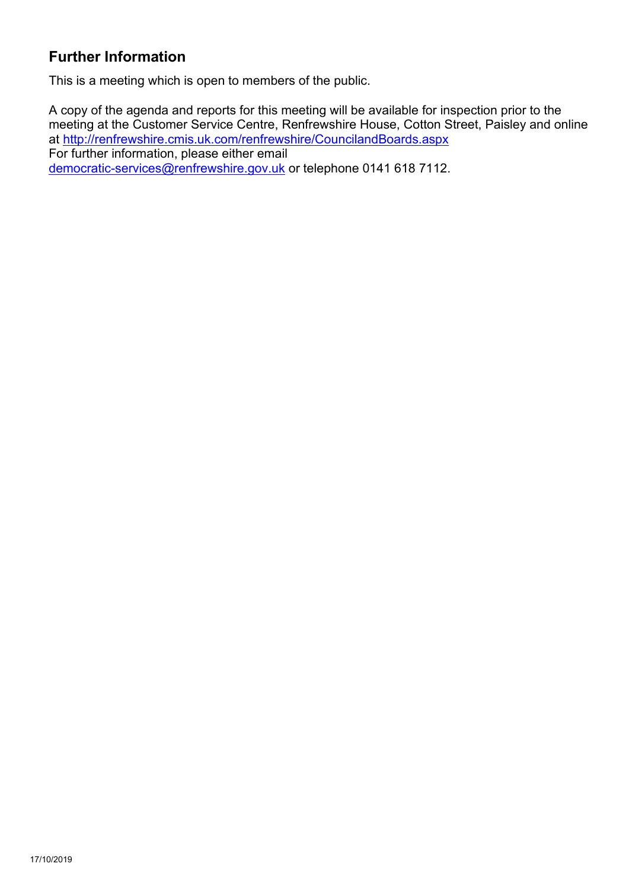## **Further Information**

This is a meeting which is open to members of the public.

A copy of the agenda and reports for this meeting will be available for inspection prior to the meeting at the Customer Service Centre, Renfrewshire House, Cotton Street, Paisley and online at <http://renfrewshire.cmis.uk.com/renfrewshire/CouncilandBoards.aspx> For further information, please either email [democratic-services@renfrewshire.gov.uk](mailto:democratic-services@renfrewshire.gov.uk) or telephone 0141 618 7112.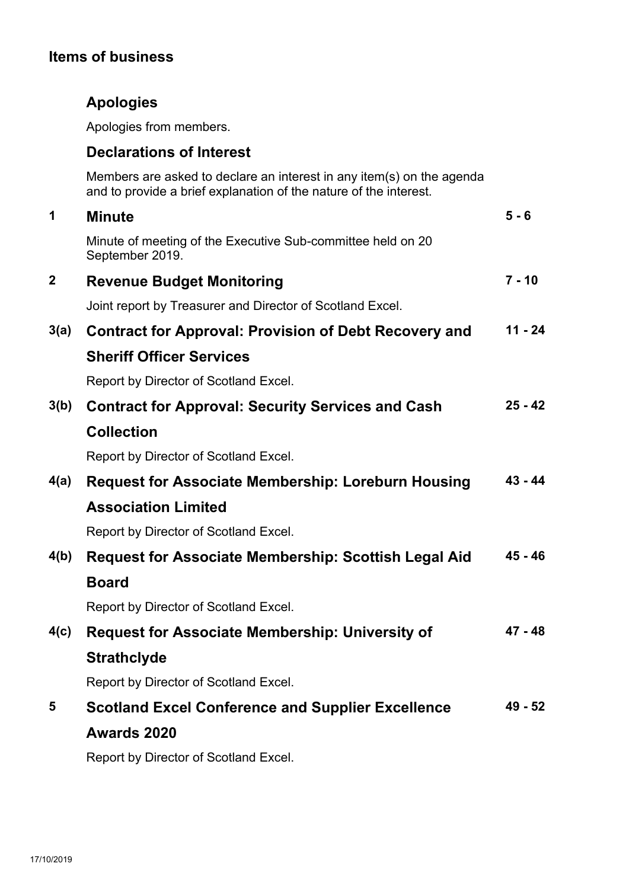## **Items of business**

## **Apologies**

Apologies from members.

### **Declarations of Interest**

Members are asked to declare an interest in any item(s) on the agenda and to provide a brief explanation of the nature of the interest.

| 1                | <b>Minute</b>                                                                  | $5 - 6$   |
|------------------|--------------------------------------------------------------------------------|-----------|
|                  | Minute of meeting of the Executive Sub-committee held on 20<br>September 2019. |           |
| $\boldsymbol{2}$ | <b>Revenue Budget Monitoring</b>                                               | $7 - 10$  |
|                  | Joint report by Treasurer and Director of Scotland Excel.                      |           |
| 3(a)             | <b>Contract for Approval: Provision of Debt Recovery and</b>                   | $11 - 24$ |
|                  | <b>Sheriff Officer Services</b>                                                |           |
|                  | Report by Director of Scotland Excel.                                          |           |
| 3(b)             | <b>Contract for Approval: Security Services and Cash</b>                       | $25 - 42$ |
|                  | <b>Collection</b>                                                              |           |
|                  | Report by Director of Scotland Excel.                                          |           |
| 4(a)             | <b>Request for Associate Membership: Loreburn Housing</b>                      | $43 - 44$ |
|                  | <b>Association Limited</b>                                                     |           |
|                  | Report by Director of Scotland Excel.                                          |           |
| 4(b)             | <b>Request for Associate Membership: Scottish Legal Aid</b>                    | $45 - 46$ |
|                  | <b>Board</b>                                                                   |           |
|                  | Report by Director of Scotland Excel.                                          |           |
| 4(c)             | <b>Request for Associate Membership: University of</b>                         | $47 - 48$ |
|                  | <b>Strathclyde</b>                                                             |           |
|                  | Report by Director of Scotland Excel.                                          |           |
| 5                | <b>Scotland Excel Conference and Supplier Excellence</b>                       | 49 - 52   |
|                  | <b>Awards 2020</b>                                                             |           |
|                  | Report by Director of Scotland Excel.                                          |           |
|                  |                                                                                |           |